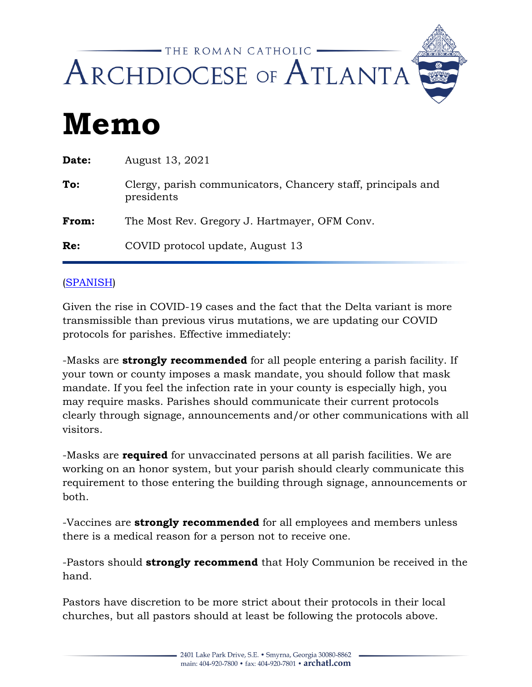

## **Memo**

| Date: | August 13, 2021                                                            |
|-------|----------------------------------------------------------------------------|
| To:   | Clergy, parish communicators, Chancery staff, principals and<br>presidents |
| From: | The Most Rev. Gregory J. Hartmayer, OFM Conv.                              |
| Re:   | COVID protocol update, August 13                                           |

## [\(SPANISH\)](https://archatl.com/wp-content/uploads/2021/08/covid-protocol-update-august-spn.pdf)

Given the rise in COVID-19 cases and the fact that the Delta variant is more transmissible than previous virus mutations, we are updating our COVID protocols for parishes. Effective immediately:

-Masks are **strongly recommended** for all people entering a parish facility. If your town or county imposes a mask mandate, you should follow that mask mandate. If you feel the infection rate in your county is especially high, you may require masks. Parishes should communicate their current protocols clearly through signage, announcements and/or other communications with all visitors.

-Masks are **required** for unvaccinated persons at all parish facilities. We are working on an honor system, but your parish should clearly communicate this requirement to those entering the building through signage, announcements or both.

-Vaccines are **strongly recommended** for all employees and members unless there is a medical reason for a person not to receive one.

-Pastors should **strongly recommend** that Holy Communion be received in the hand.

Pastors have discretion to be more strict about their protocols in their local churches, but all pastors should at least be following the protocols above.